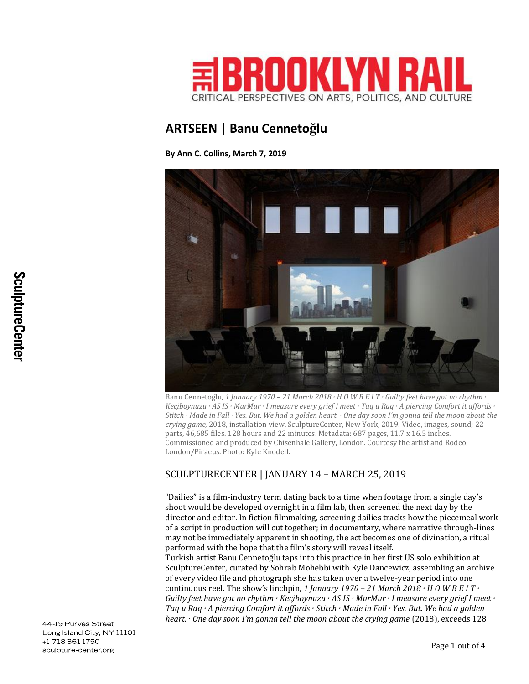

## **ARTSEEN | Banu Cennetoğlu**

**By Ann C. Collins, March 7, 2019**



Banu Cennetoglu, 1 January 1970 - 21 March 2018  $\cdot$  H O W B E I T  $\cdot$  Guilty feet have got no rhythm  $\cdot$ Kecibovnuzu · AS IS · MurMur · I measure every arief I meet · Taa u Raa · A piercina Comfort it affords · Stitch  $\cdot$  Made in Fall  $\cdot$  Yes. But. We had a golden heart.  $\cdot$  One day soon I'm gonna tell the moon about the *crying game*, 2018, installation view, SculptureCenter, New York, 2019. Video, images, sound; 22 parts, 46,685 files. 128 hours and 22 minutes. Metadata: 687 pages, 11.7 x 16.5 inches. Commissioned and produced by Chisenhale Gallery, London. Courtesy the artist and Rodeo, London/Piraeus. Photo: Kyle Knodell.

## SCULPTURECENTER | JANUARY 14 – MARCH 25, 2019

"Dailies" is a film-industry term dating back to a time when footage from a single day's shoot would be developed overnight in a film lab, then screened the next day by the director and editor. In fiction filmmaking, screening dailies tracks how the piecemeal work of a script in production will cut together; in documentary, where narrative through-lines may not be immediately apparent in shooting, the act becomes one of divination, a ritual performed with the hope that the film's story will reveal itself.

Turkish artist Banu Cennetoğlu taps into this practice in her first US solo exhibition at SculptureCenter, curated by Sohrab Mohebbi with Kyle Dancewicz, assembling an archive of every video file and photograph she has taken over a twelve-year period into one continuous reel. The show's linchpin, 1 January 1970 – 21 March 2018  $\cdot$  H O W B E I T  $\cdot$ *Guilty feet have got no rhythm · Keçiboynuzu · AS IS · MurMur · I measure every grief I meet · Taq u Raq · A piercing Comfort it affords · Stitch · Made in Fall · Yes. But. We had a golden heart. · One day soon I'm gonna tell the moon about the crying game* (2018), exceeds 128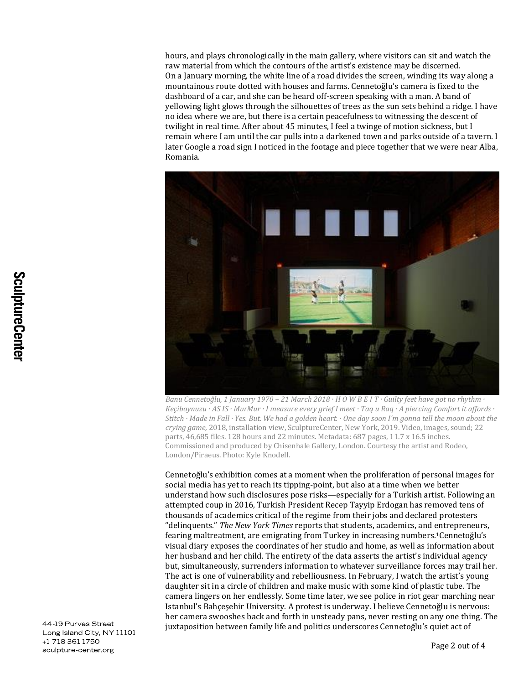hours, and plays chronologically in the main gallery, where visitors can sit and watch the raw material from which the contours of the artist's existence may be discerned. On a January morning, the white line of a road divides the screen, winding its way along a mountainous route dotted with houses and farms. Cennetoğlu's camera is fixed to the dashboard of a car, and she can be heard off-screen speaking with a man. A band of yellowing light glows through the silhouettes of trees as the sun sets behind a ridge. I have no idea where we are, but there is a certain peacefulness to witnessing the descent of twilight in real time. After about 45 minutes, I feel a twinge of motion sickness, but I remain where I am until the car pulls into a darkened town and parks outside of a tavern. I later Google a road sign I noticed in the footage and piece together that we were near Alba, Romania.



*Banu Cennetoğlu, 1 January 1970 – 21 March 2018 · H O W B E I T · Guilty feet have got no rhythm · Keçiboynuzu · AS IS · MurMur · I measure every grief I meet · Taq u Raq · A piercing Comfort it affords · Stitch · Made in Fall · Yes. But. We had a golden heart. · One day soon I'm gonna tell the moon about the crying game,* 2018, installation view, SculptureCenter, New York, 2019. Video, images, sound; 22 parts, 46,685 files. 128 hours and 22 minutes. Metadata: 687 pages, 11.7 x 16.5 inches. Commissioned and produced by Chisenhale Gallery, London. Courtesy the artist and Rodeo, London/Piraeus. Photo: Kyle Knodell.

Cennetoğlu's exhibition comes at a moment when the proliferation of personal images for social media has yet to reach its tipping-point, but also at a time when we better understand how such disclosures pose risks—especially for a Turkish artist. Following an attempted coup in 2016, Turkish President Recep Tayyip Erdogan has removed tens of thousands of academics critical of the regime from their jobs and declared protesters "delinquents." *The New York Times* reports that students, academics, and entrepreneurs, fearing maltreatment, are emigrating from Turkey in increasing numbers.1Cennetoğlu's visual diary exposes the coordinates of her studio and home, as well as information about her husband and her child. The entirety of the data asserts the artist's individual agency but, simultaneously, surrenders information to whatever surveillance forces may trail her. The act is one of vulnerability and rebelliousness. In February, I watch the artist's young daughter sit in a circle of children and make music with some kind of plastic tube. The camera lingers on her endlessly. Some time later, we see police in riot gear marching near Istanbul's Bahçeşehir University. A protest is underway. I believe Cennetoğlu is nervous: her camera swooshes back and forth in unsteady pans, never resting on any one thing. The juxtaposition between family life and politics underscores Cennetoğlu's quiet act of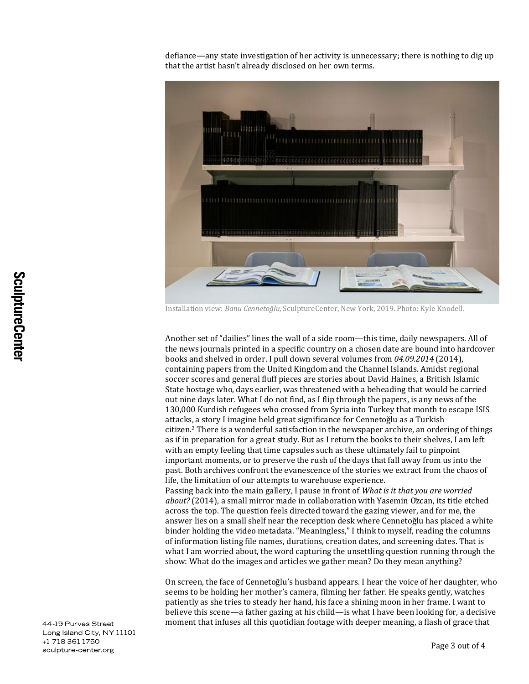defiance—any state investigation of her activity is unnecessary; there is nothing to dig up that the artist hasn't already disclosed on her own terms.



Installation view: *Banu Cennetoğlu*, SculptureCenter, New York, 2019. Photo: Kyle Knodell.

Another set of "dailies" lines the wall of a side room—this time, daily newspapers. All of the news journals printed in a specific country on a chosen date are bound into hardcover books and shelved in order. I pull down several volumes from *04.09.2014* (2014), containing papers from the United Kingdom and the Channel Islands. Amidst regional soccer scores and general fluff pieces are stories about David Haines, a British Islamic State hostage who, days earlier, was threatened with a beheading that would be carried out nine days later. What I do not find, as I flip through the papers, is any news of the 130,000 Kurdish refugees who crossed from Syria into Turkey that month to escape ISIS attacks, a story I imagine held great significance for Cennetoğlu as a Turkish citizen.<sup>2</sup> There is a wonderful satisfaction in the newspaper archive, an ordering of things as if in preparation for a great study. But as I return the books to their shelves, I am left with an empty feeling that time capsules such as these ultimately fail to pinpoint important moments, or to preserve the rush of the days that fall away from us into the past. Both archives confront the evanescence of the stories we extract from the chaos of life, the limitation of our attempts to warehouse experience.

Passing back into the main gallery, I pause in front of *What is it that you are worried about?* (2014), a small mirror made in collaboration with Yasemin Özcan, its title etched across the top. The question feels directed toward the gazing viewer, and for me, the answer lies on a small shelf near the reception desk where Cennetoğlu has placed a white binder holding the video metadata. "Meaningless," I think to myself, reading the columns of information listing file names, durations, creation dates, and screening dates. That is what I am worried about, the word capturing the unsettling question running through the show: What do the images and articles we gather mean? Do they mean anything?

On screen, the face of Cennetoğlu's husband appears. I hear the voice of her daughter, who seems to be holding her mother's camera, filming her father. He speaks gently, watches patiently as she tries to steady her hand, his face a shining moon in her frame. I want to believe this scene—a father gazing at his child—is what I have been looking for, a decisive moment that infuses all this quotidian footage with deeper meaning, a flash of grace that